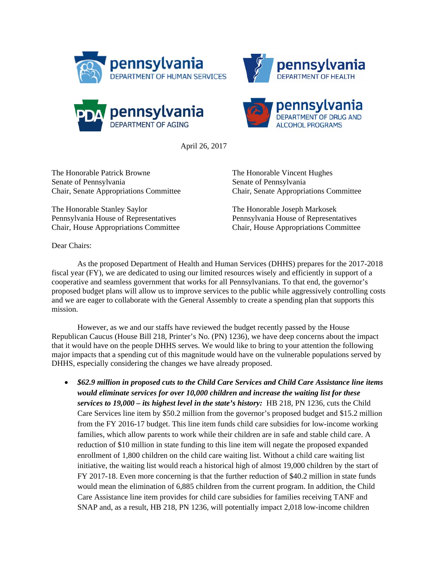







April 26, 2017

The Honorable Patrick Browne The Honorable Vincent Hughes Senate of Pennsylvania<br>
Senate of Pennsylvania

The Honorable Stanley Saylor The Honorable Joseph Markosek Pennsylvania House of Representatives Pennsylvania House of Representatives

Chair, Senate Appropriations Committee Chair, Senate Appropriations Committee

Chair, House Appropriations Committee Chair, House Appropriations Committee

Dear Chairs:

As the proposed Department of Health and Human Services (DHHS) prepares for the 2017-2018 fiscal year (FY), we are dedicated to using our limited resources wisely and efficiently in support of a cooperative and seamless government that works for all Pennsylvanians. To that end, the governor's proposed budget plans will allow us to improve services to the public while aggressively controlling costs and we are eager to collaborate with the General Assembly to create a spending plan that supports this mission.

However, as we and our staffs have reviewed the budget recently passed by the House Republican Caucus (House Bill 218, Printer's No. (PN) 1236), we have deep concerns about the impact that it would have on the people DHHS serves. We would like to bring to your attention the following major impacts that a spending cut of this magnitude would have on the vulnerable populations served by DHHS, especially considering the changes we have already proposed.

 *\$62.9 million in proposed cuts to the Child Care Services and Child Care Assistance line items would eliminate services for over 10,000 children and increase the waiting list for these services to 19,000 – its highest level in the state's history:* HB 218, PN 1236, cuts the Child Care Services line item by \$50.2 million from the governor's proposed budget and \$15.2 million from the FY 2016-17 budget. This line item funds child care subsidies for low-income working families, which allow parents to work while their children are in safe and stable child care. A reduction of \$10 million in state funding to this line item will negate the proposed expanded enrollment of 1,800 children on the child care waiting list. Without a child care waiting list initiative, the waiting list would reach a historical high of almost 19,000 children by the start of FY 2017-18. Even more concerning is that the further reduction of \$40.2 million in state funds would mean the elimination of 6,885 children from the current program. In addition, the Child Care Assistance line item provides for child care subsidies for families receiving TANF and SNAP and, as a result, HB 218, PN 1236, will potentially impact 2,018 low-income children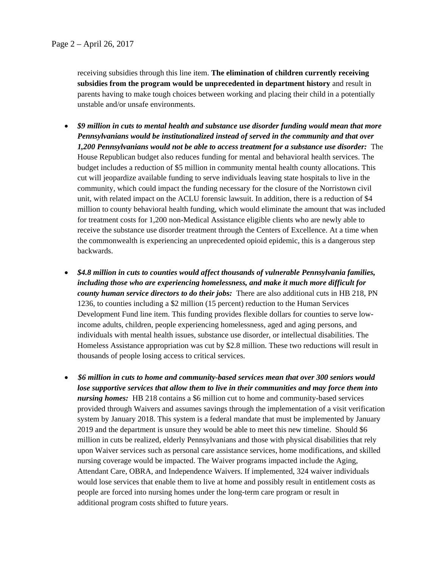receiving subsidies through this line item. **The elimination of children currently receiving subsidies from the program would be unprecedented in department history** and result in parents having to make tough choices between working and placing their child in a potentially unstable and/or unsafe environments.

- *\$9 million in cuts to mental health and substance use disorder funding would mean that more Pennsylvanians would be institutionalized instead of served in the community and that over 1,200 Pennsylvanians would not be able to access treatment for a substance use disorder:* The House Republican budget also reduces funding for mental and behavioral health services. The budget includes a reduction of \$5 million in community mental health county allocations. This cut will jeopardize available funding to serve individuals leaving state hospitals to live in the community, which could impact the funding necessary for the closure of the Norristown civil unit, with related impact on the ACLU forensic lawsuit. In addition, there is a reduction of \$4 million to county behavioral health funding, which would eliminate the amount that was included for treatment costs for 1,200 non-Medical Assistance eligible clients who are newly able to receive the substance use disorder treatment through the Centers of Excellence. At a time when the commonwealth is experiencing an unprecedented opioid epidemic, this is a dangerous step backwards.
- *\$4.8 million in cuts to counties would affect thousands of vulnerable Pennsylvania families, including those who are experiencing homelessness, and make it much more difficult for county human service directors to do their jobs:* There are also additional cuts in HB 218, PN 1236, to counties including a \$2 million (15 percent) reduction to the Human Services Development Fund line item. This funding provides flexible dollars for counties to serve lowincome adults, children, people experiencing homelessness, aged and aging persons, and individuals with mental health issues, substance use disorder, or intellectual disabilities. The Homeless Assistance appropriation was cut by \$2.8 million. These two reductions will result in thousands of people losing access to critical services.
- *\$6 million in cuts to home and community-based services mean that over 300 seniors would lose supportive services that allow them to live in their communities and may force them into nursing homes:* HB 218 contains a \$6 million cut to home and community-based services provided through Waivers and assumes savings through the implementation of a visit verification system by January 2018. This system is a federal mandate that must be implemented by January 2019 and the department is unsure they would be able to meet this new timeline. Should \$6 million in cuts be realized, elderly Pennsylvanians and those with physical disabilities that rely upon Waiver services such as personal care assistance services, home modifications, and skilled nursing coverage would be impacted. The Waiver programs impacted include the Aging, Attendant Care, OBRA, and Independence Waivers. If implemented, 324 waiver individuals would lose services that enable them to live at home and possibly result in entitlement costs as people are forced into nursing homes under the long-term care program or result in additional program costs shifted to future years.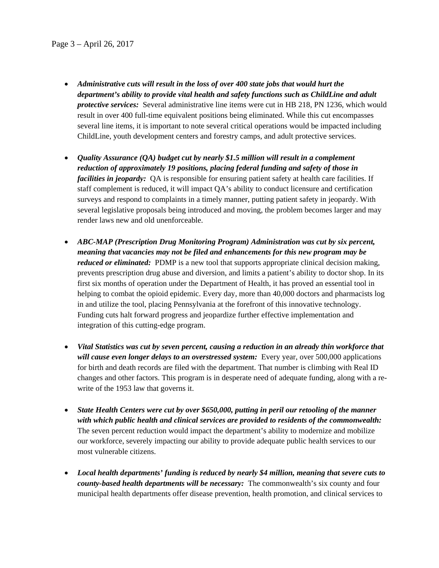- *Administrative cuts will result in the loss of over 400 state jobs that would hurt the department's ability to provide vital health and safety functions such as ChildLine and adult protective services:* Several administrative line items were cut in HB 218, PN 1236, which would result in over 400 full-time equivalent positions being eliminated. While this cut encompasses several line items, it is important to note several critical operations would be impacted including ChildLine, youth development centers and forestry camps, and adult protective services.
- *Quality Assurance (QA) budget cut by nearly \$1.5 million will result in a complement reduction of approximately 19 positions, placing federal funding and safety of those in facilities in jeopardy:* QA is responsible for ensuring patient safety at health care facilities. If staff complement is reduced, it will impact QA's ability to conduct licensure and certification surveys and respond to complaints in a timely manner, putting patient safety in jeopardy. With several legislative proposals being introduced and moving, the problem becomes larger and may render laws new and old unenforceable.
- *ABC-MAP (Prescription Drug Monitoring Program) Administration was cut by six percent, meaning that vacancies may not be filed and enhancements for this new program may be reduced or eliminated:* PDMP is a new tool that supports appropriate clinical decision making, prevents prescription drug abuse and diversion, and limits a patient's ability to doctor shop. In its first six months of operation under the Department of Health, it has proved an essential tool in helping to combat the opioid epidemic. Every day, more than 40,000 doctors and pharmacists log in and utilize the tool, placing Pennsylvania at the forefront of this innovative technology. Funding cuts halt forward progress and jeopardize further effective implementation and integration of this cutting-edge program.
- *Vital Statistics was cut by seven percent, causing a reduction in an already thin workforce that will cause even longer delays to an overstressed system:* Every year, over 500,000 applications for birth and death records are filed with the department. That number is climbing with Real ID changes and other factors. This program is in desperate need of adequate funding, along with a rewrite of the 1953 law that governs it.
- *State Health Centers were cut by over \$650,000, putting in peril our retooling of the manner with which public health and clinical services are provided to residents of the commonwealth:*  The seven percent reduction would impact the department's ability to modernize and mobilize our workforce, severely impacting our ability to provide adequate public health services to our most vulnerable citizens.
- *Local health departments' funding is reduced by nearly \$4 million, meaning that severe cuts to county-based health departments will be necessary:* The commonwealth's six county and four municipal health departments offer disease prevention, health promotion, and clinical services to